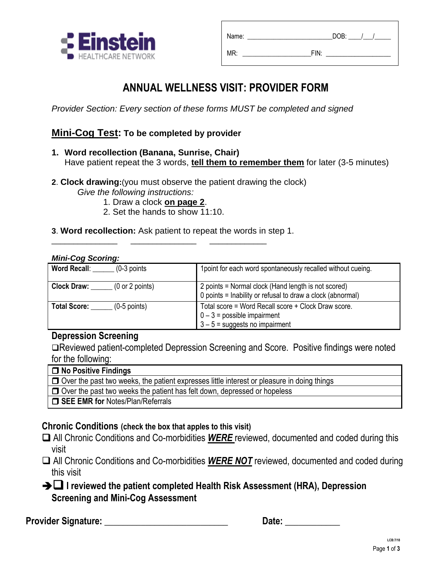

| Name: | DOB: |
|-------|------|
| MR:   | FIN: |

## **ANNUAL WELLNESS VISIT: PROVIDER FORM**

*Provider Section: Every section of these forms MUST be completed and signed*

### **Mini-Cog Test: To be completed by provider**

- **1. Word recollection (Banana, Sunrise, Chair)**  Have patient repeat the 3 words, **tell them to remember them** for later (3-5 minutes)
- **2**. **Clock drawing:**(you must observe the patient drawing the clock) *Give the following instructions:*
	- 1. Draw a clock **on page 2**.

\_\_\_\_\_\_\_\_\_\_\_\_\_\_\_ \_\_\_\_\_\_\_\_\_\_\_\_\_\_\_ \_\_\_\_\_\_\_\_\_\_\_\_\_

- 2. Set the hands to show 11:10.
- **3**. **Word recollection:** Ask patient to repeat the words in step 1.

#### *Mini-Cog Scoring:*

| <b>Word Recall:</b><br>$(0-3$ points                     | 1 point for each word spontaneously recalled without cueing.                                                             |
|----------------------------------------------------------|--------------------------------------------------------------------------------------------------------------------------|
| <b>Clock Draw:</b><br>$(0 \text{ or } 2 \text{ points})$ | 2 points = Normal clock (Hand length is not scored)<br>0 points = Inability or refusal to draw a clock (abnormal)        |
| $(0-5$ points)<br><b>Total Score:</b>                    | Total score = Word Recall score + Clock Draw score.<br>$0 - 3$ = possible impairment<br>$3 - 5$ = suggests no impairment |

#### **Depression Screening**

Reviewed patient-completed Depression Screening and Score. Positive findings were noted for the following:

**No Positive Findings**

 $\Box$  Over the past two weeks, the patient expresses little interest or pleasure in doing things

O Over the past two weeks the patient has felt down, depressed or hopeless

**SEE EMR for Notes/Plan/Referrals** 

#### **Chronic Conditions (check the box that apples to this visit)**

- All Chronic Conditions and Co-morbidities *WERE* reviewed, documented and coded during this visit
- □ All Chronic Conditions and Co-morbidities **WERE NOT** reviewed, documented and coded during this visit
- $\rightarrow$  $\Box$  I reviewed the patient completed Health Risk Assessment (HRA), Depression **Screening and Mini-Cog Assessment**

**Provider Signature: \_\_\_\_\_\_\_\_\_\_\_\_\_\_\_\_\_\_\_\_\_\_\_\_\_\_\_ Date: \_\_\_\_\_\_\_\_\_\_\_\_**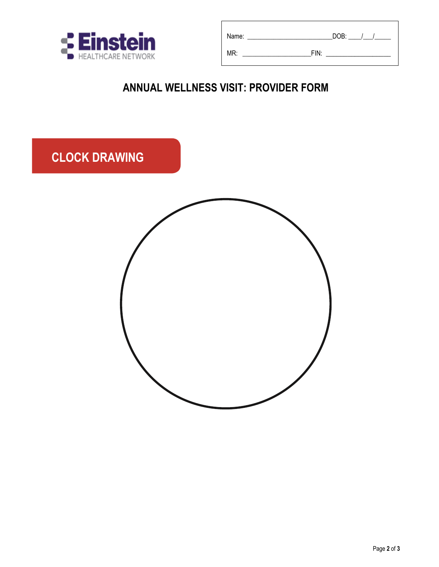

| Name: | DOB: |
|-------|------|
| MR:   | FIN: |

# **ANNUAL WELLNESS VISIT: PROVIDER FORM**